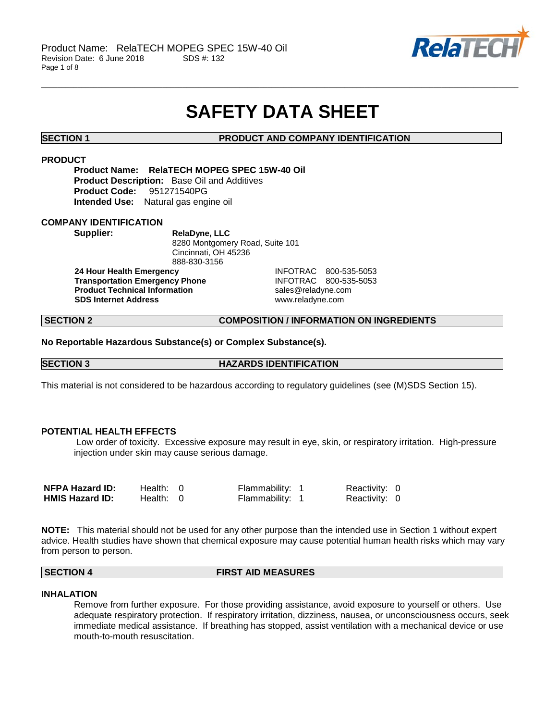

# **SAFETY DATA SHEET**

\_\_\_\_\_\_\_\_\_\_\_\_\_\_\_\_\_\_\_\_\_\_\_\_\_\_\_\_\_\_\_\_\_\_\_\_\_\_\_\_\_\_\_\_\_\_\_\_\_\_\_\_\_\_\_\_\_\_\_\_\_\_\_\_\_\_\_\_\_\_\_\_\_\_\_\_\_\_\_\_\_\_\_\_\_\_\_\_\_\_\_\_\_\_\_\_\_\_\_\_\_\_\_\_\_\_\_\_\_\_\_\_\_\_\_\_\_\_

**SECTION 1 PRODUCT AND COMPANY IDENTIFICATION**

# **PRODUCT**

**Product Name: RelaTECH MOPEG SPEC 15W-40 Oil Product Description:** Base Oil and Additives **Product Code:** 951271540PG **Intended Use:** Natural gas engine oil

# **COMPANY IDENTIFICATION**

| Supplier: |  |
|-----------|--|
|-----------|--|

**Supplier: RelaDyne, LLC** 8280 Montgomery Road, Suite 101 Cincinnati, OH 45236 888-830-3156 **24 Hour Health Emergency** INFOTRAC 800-535-5053 **Transportation Emergency Phone** 

**Product Technical Information**<br> **SDS Internet Address**<br>
SDS Internet Address<br>
SDS Internet Address<br>
SDS Internet Address<br>
SDS Internet Address<br>
SDS Internet Address<br>
SDS Internet Address<br>
SDS Internet Address<br>
SDS Interne **SDS Internet Address** 

# **SECTION 2 COMPOSITION / INFORMATION ON INGREDIENTS**

**No Reportable Hazardous Substance(s) or Complex Substance(s).**

# **SECTION 3 HAZARDS IDENTIFICATION**

This material is not considered to be hazardous according to regulatory guidelines (see (M)SDS Section 15).

# **POTENTIAL HEALTH EFFECTS**

Low order of toxicity. Excessive exposure may result in eye, skin, or respiratory irritation. High-pressure injection under skin may cause serious damage.

| <b>NFPA Hazard ID:</b> | Health: 0 | Flammability: 1 | Reactivity: 0 |  |
|------------------------|-----------|-----------------|---------------|--|
| <b>HMIS Hazard ID:</b> | Health: 0 | Flammability: 1 | Reactivity: 0 |  |

**NOTE:** This material should not be used for any other purpose than the intended use in Section 1 without expert advice. Health studies have shown that chemical exposure may cause potential human health risks which may vary from person to person.

# **SECTION 4 FIRST AID MEASURES**

### **INHALATION**

Remove from further exposure. For those providing assistance, avoid exposure to yourself or others. Use adequate respiratory protection. If respiratory irritation, dizziness, nausea, or unconsciousness occurs, seek immediate medical assistance. If breathing has stopped, assist ventilation with a mechanical device or use mouth-to-mouth resuscitation.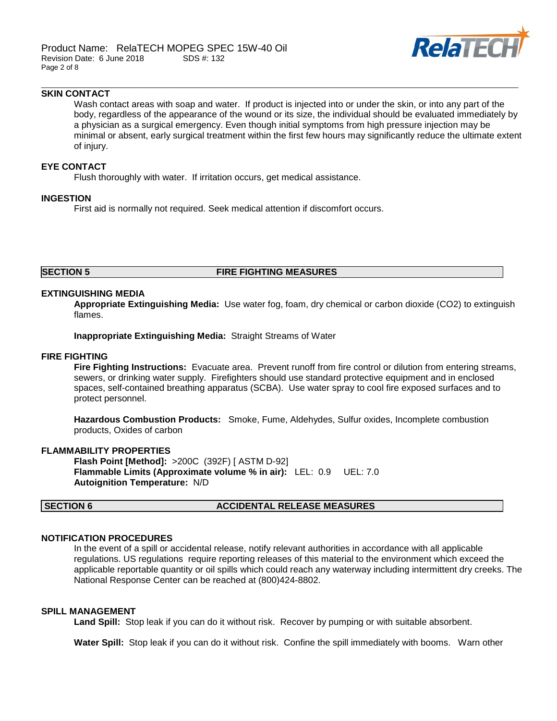

#### \_\_\_\_\_\_\_\_\_\_\_\_\_\_\_\_\_\_\_\_\_\_\_\_\_\_\_\_\_\_\_\_\_\_\_\_\_\_\_\_\_\_\_\_\_\_\_\_\_\_\_\_\_\_\_\_\_\_\_\_\_\_\_\_\_\_\_\_\_\_\_\_\_\_\_\_\_\_\_\_\_\_\_\_\_\_\_\_\_\_\_\_\_\_\_\_\_\_\_\_\_\_\_\_\_\_\_\_\_\_\_\_\_\_\_\_\_\_ **SKIN CONTACT**

Wash contact areas with soap and water. If product is injected into or under the skin, or into any part of the body, regardless of the appearance of the wound or its size, the individual should be evaluated immediately by a physician as a surgical emergency. Even though initial symptoms from high pressure injection may be minimal or absent, early surgical treatment within the first few hours may significantly reduce the ultimate extent of injury.

### **EYE CONTACT**

Flush thoroughly with water. If irritation occurs, get medical assistance.

### **INGESTION**

First aid is normally not required. Seek medical attention if discomfort occurs.

# **SECTION 5 FIRE FIGHTING MEASURES**

### **EXTINGUISHING MEDIA**

**Appropriate Extinguishing Media:** Use water fog, foam, dry chemical or carbon dioxide (CO2) to extinguish flames.

**Inappropriate Extinguishing Media:** Straight Streams of Water

### **FIRE FIGHTING**

**Fire Fighting Instructions:** Evacuate area. Prevent runoff from fire control or dilution from entering streams, sewers, or drinking water supply. Firefighters should use standard protective equipment and in enclosed spaces, self-contained breathing apparatus (SCBA). Use water spray to cool fire exposed surfaces and to protect personnel.

**Hazardous Combustion Products:** Smoke, Fume, Aldehydes, Sulfur oxides, Incomplete combustion products, Oxides of carbon

# **FLAMMABILITY PROPERTIES**

**Flash Point [Method]:** >200C (392F) [ ASTM D-92] **Flammable Limits (Approximate volume % in air):** LEL: 0.9 UEL: 7.0 **Autoignition Temperature:** N/D

# **SECTION 6 ACCIDENTAL RELEASE MEASURES**

### **NOTIFICATION PROCEDURES**

In the event of a spill or accidental release, notify relevant authorities in accordance with all applicable regulations. US regulations require reporting releases of this material to the environment which exceed the applicable reportable quantity or oil spills which could reach any waterway including intermittent dry creeks. The National Response Center can be reached at (800)424-8802.

#### **SPILL MANAGEMENT**

**Land Spill:** Stop leak if you can do it without risk. Recover by pumping or with suitable absorbent.

**Water Spill:** Stop leak if you can do it without risk. Confine the spill immediately with booms. Warn other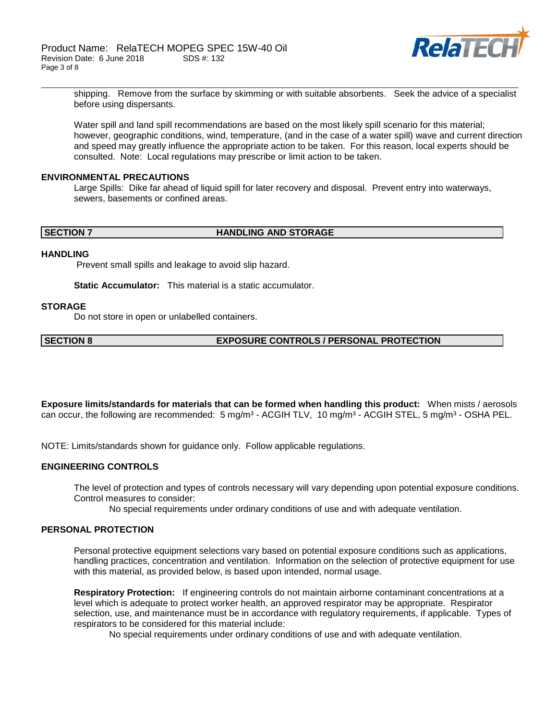

\_\_\_\_\_\_\_\_\_\_\_\_\_\_\_\_\_\_\_\_\_\_\_\_\_\_\_\_\_\_\_\_\_\_\_\_\_\_\_\_\_\_\_\_\_\_\_\_\_\_\_\_\_\_\_\_\_\_\_\_\_\_\_\_\_\_\_\_\_\_\_\_\_\_\_\_\_\_\_\_\_\_\_\_\_\_\_\_\_\_\_\_\_\_\_\_\_\_\_\_\_\_\_\_\_\_\_\_\_\_\_\_\_\_\_\_\_\_ shipping. Remove from the surface by skimming or with suitable absorbents. Seek the advice of a specialist before using dispersants.

Water spill and land spill recommendations are based on the most likely spill scenario for this material; however, geographic conditions, wind, temperature, (and in the case of a water spill) wave and current direction and speed may greatly influence the appropriate action to be taken. For this reason, local experts should be consulted. Note: Local regulations may prescribe or limit action to be taken.

### **ENVIRONMENTAL PRECAUTIONS**

Large Spills: Dike far ahead of liquid spill for later recovery and disposal. Prevent entry into waterways, sewers, basements or confined areas.

# **SECTION 7 HANDLING AND STORAGE**

### **HANDLING**

Prevent small spills and leakage to avoid slip hazard.

**Static Accumulator:** This material is a static accumulator.

### **STORAGE**

Do not store in open or unlabelled containers.

# **SECTION 8 EXPOSURE CONTROLS / PERSONAL PROTECTION**

**Exposure limits/standards for materials that can be formed when handling this product:** When mists / aerosols can occur, the following are recommended: 5 mg/m<sup>3</sup> - ACGIH TLV, 10 mg/m<sup>3</sup> - ACGIH STEL, 5 mg/m<sup>3</sup> - OSHA PEL.

NOTE: Limits/standards shown for guidance only. Follow applicable regulations.

# **ENGINEERING CONTROLS**

The level of protection and types of controls necessary will vary depending upon potential exposure conditions. Control measures to consider:

No special requirements under ordinary conditions of use and with adequate ventilation.

# **PERSONAL PROTECTION**

Personal protective equipment selections vary based on potential exposure conditions such as applications, handling practices, concentration and ventilation. Information on the selection of protective equipment for use with this material, as provided below, is based upon intended, normal usage.

**Respiratory Protection:** If engineering controls do not maintain airborne contaminant concentrations at a level which is adequate to protect worker health, an approved respirator may be appropriate. Respirator selection, use, and maintenance must be in accordance with regulatory requirements, if applicable. Types of respirators to be considered for this material include:

No special requirements under ordinary conditions of use and with adequate ventilation.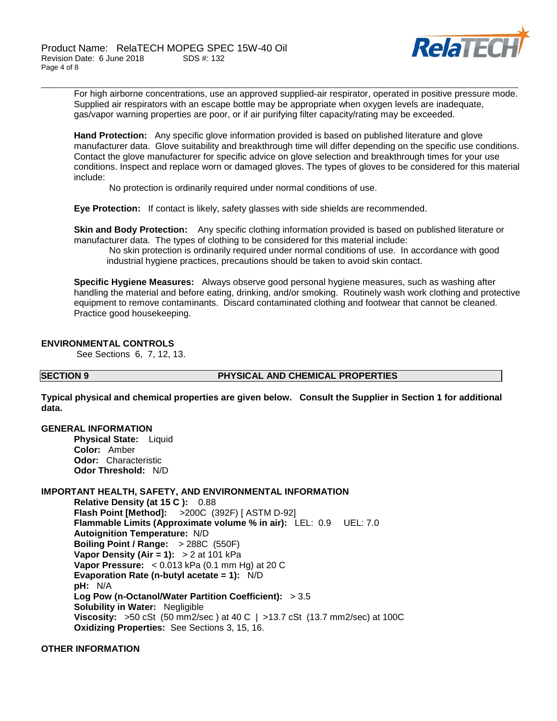

For high airborne concentrations, use an approved supplied-air respirator, operated in positive pressure mode. Supplied air respirators with an escape bottle may be appropriate when oxygen levels are inadequate, gas/vapor warning properties are poor, or if air purifying filter capacity/rating may be exceeded.

\_\_\_\_\_\_\_\_\_\_\_\_\_\_\_\_\_\_\_\_\_\_\_\_\_\_\_\_\_\_\_\_\_\_\_\_\_\_\_\_\_\_\_\_\_\_\_\_\_\_\_\_\_\_\_\_\_\_\_\_\_\_\_\_\_\_\_\_\_\_\_\_\_\_\_\_\_\_\_\_\_\_\_\_\_\_\_\_\_\_\_\_\_\_\_\_\_\_\_\_\_\_\_\_\_\_\_\_\_\_\_\_\_\_\_\_\_\_

**Hand Protection:** Any specific glove information provided is based on published literature and glove manufacturer data. Glove suitability and breakthrough time will differ depending on the specific use conditions. Contact the glove manufacturer for specific advice on glove selection and breakthrough times for your use conditions. Inspect and replace worn or damaged gloves. The types of gloves to be considered for this material include:

No protection is ordinarily required under normal conditions of use.

**Eye Protection:** If contact is likely, safety glasses with side shields are recommended.

**Skin and Body Protection:** Any specific clothing information provided is based on published literature or manufacturer data. The types of clothing to be considered for this material include:

No skin protection is ordinarily required under normal conditions of use. In accordance with good industrial hygiene practices, precautions should be taken to avoid skin contact.

**Specific Hygiene Measures:** Always observe good personal hygiene measures, such as washing after handling the material and before eating, drinking, and/or smoking. Routinely wash work clothing and protective equipment to remove contaminants. Discard contaminated clothing and footwear that cannot be cleaned. Practice good housekeeping.

# **ENVIRONMENTAL CONTROLS**

See Sections 6, 7, 12, 13.

**SECTION 9 PHYSICAL AND CHEMICAL PROPERTIES**

**Typical physical and chemical properties are given below. Consult the Supplier in Section 1 for additional data.**

# **GENERAL INFORMATION**

**Physical State:** Liquid **Color:** Amber **Odor:** Characteristic **Odor Threshold:** N/D

# **IMPORTANT HEALTH, SAFETY, AND ENVIRONMENTAL INFORMATION**

**Relative Density (at 15 C ):** 0.88 **Flash Point [Method]:** >200C (392F) [ ASTM D-92] **Flammable Limits (Approximate volume % in air):** LEL: 0.9 UEL: 7.0 **Autoignition Temperature:** N/D **Boiling Point / Range:** > 288C (550F) **Vapor Density (Air = 1):** > 2 at 101 kPa **Vapor Pressure:** < 0.013 kPa (0.1 mm Hg) at 20 C **Evaporation Rate (n-butyl acetate = 1):** N/D **pH:** N/A **Log Pow (n-Octanol/Water Partition Coefficient):** > 3.5 **Solubility in Water:** Negligible **Viscosity:** >50 cSt (50 mm2/sec ) at 40 C | >13.7 cSt (13.7 mm2/sec) at 100C **Oxidizing Properties:** See Sections 3, 15, 16.

# **OTHER INFORMATION**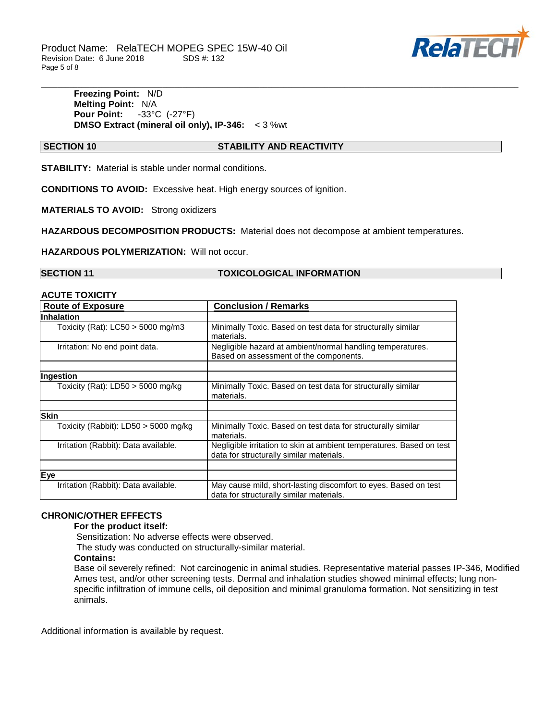

### \_\_\_\_\_\_\_\_\_\_\_\_\_\_\_\_\_\_\_\_\_\_\_\_\_\_\_\_\_\_\_\_\_\_\_\_\_\_\_\_\_\_\_\_\_\_\_\_\_\_\_\_\_\_\_\_\_\_\_\_\_\_\_\_\_\_\_\_\_\_\_\_\_\_\_\_\_\_\_\_\_\_\_\_\_\_\_\_\_\_\_\_\_\_\_\_\_\_\_\_\_\_\_\_\_\_\_\_\_\_\_\_\_\_\_\_\_\_ **Freezing Point:** N/D **Melting Point: N/A<br>Pour Point: -33°C Pour Point:** -33°C (-27°F) **DMSO Extract (mineral oil only), IP-346:** < 3 %wt

# **SECTION 10 STABILITY AND REACTIVITY**

**STABILITY:** Material is stable under normal conditions.

**CONDITIONS TO AVOID:** Excessive heat. High energy sources of ignition.

**MATERIALS TO AVOID:** Strong oxidizers

**HAZARDOUS DECOMPOSITION PRODUCTS:** Material does not decompose at ambient temperatures.

**HAZARDOUS POLYMERIZATION:** Will not occur.

### **SECTION 11 TOXICOLOGICAL INFORMATION**

# **ACUTE TOXICITY**

| <b>Route of Exposure</b>             | <b>Conclusion / Remarks</b>                                                                                      |  |
|--------------------------------------|------------------------------------------------------------------------------------------------------------------|--|
| <b>Inhalation</b>                    |                                                                                                                  |  |
| Toxicity (Rat): $LC50 > 5000$ mg/m3  | Minimally Toxic. Based on test data for structurally similar<br>materials.                                       |  |
| Irritation: No end point data.       | Negligible hazard at ambient/normal handling temperatures.<br>Based on assessment of the components.             |  |
|                                      |                                                                                                                  |  |
| Ingestion                            |                                                                                                                  |  |
| Toxicity (Rat): $LD50 > 5000$ mg/kg  | Minimally Toxic. Based on test data for structurally similar<br>materials.                                       |  |
|                                      |                                                                                                                  |  |
| <b>Skin</b>                          |                                                                                                                  |  |
| Toxicity (Rabbit): LD50 > 5000 mg/kg | Minimally Toxic. Based on test data for structurally similar<br>materials.                                       |  |
| Irritation (Rabbit): Data available. | Negligible irritation to skin at ambient temperatures. Based on test<br>data for structurally similar materials. |  |
|                                      |                                                                                                                  |  |
| Eye                                  |                                                                                                                  |  |
| Irritation (Rabbit): Data available. | May cause mild, short-lasting discomfort to eyes. Based on test<br>data for structurally similar materials.      |  |

# **CHRONIC/OTHER EFFECTS**

# **For the product itself:**

Sensitization: No adverse effects were observed.

The study was conducted on structurally-similar material.

### **Contains:**

Base oil severely refined: Not carcinogenic in animal studies. Representative material passes IP-346, Modified Ames test, and/or other screening tests. Dermal and inhalation studies showed minimal effects; lung nonspecific infiltration of immune cells, oil deposition and minimal granuloma formation. Not sensitizing in test animals.

Additional information is available by request.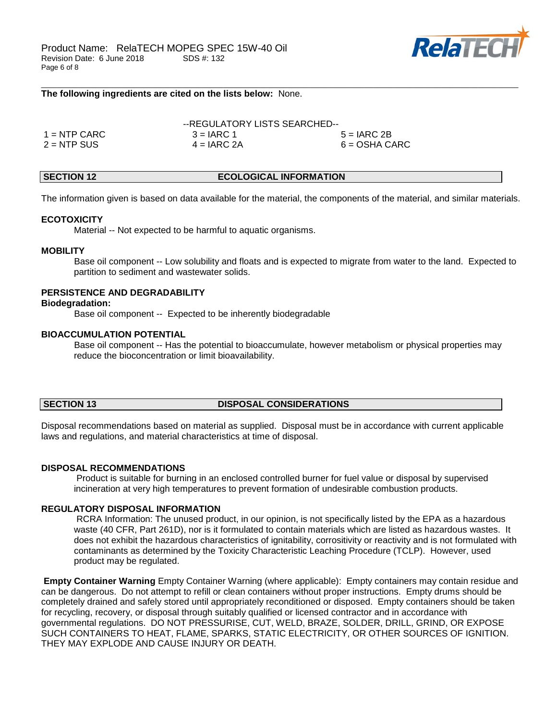

### **The following ingredients are cited on the lists below:** None.

|                | --REGULATORY LISTS SEARCHED-- |                 |
|----------------|-------------------------------|-----------------|
| $1 =$ NTP CARC | $3 = IARC 1$                  | $5 = IARC 2B$   |
| $2 = NTP$ SUS  | $4 = IARC 2A$                 | $6 = OSHA CARC$ |

#### **SECTION 12 ECOLOGICAL INFORMATION**

\_\_\_\_\_\_\_\_\_\_\_\_\_\_\_\_\_\_\_\_\_\_\_\_\_\_\_\_\_\_\_\_\_\_\_\_\_\_\_\_\_\_\_\_\_\_\_\_\_\_\_\_\_\_\_\_\_\_\_\_\_\_\_\_\_\_\_\_\_\_\_\_\_\_\_\_\_\_\_\_\_\_\_\_\_\_\_\_\_\_\_\_\_\_\_\_\_\_\_\_\_\_\_\_\_\_\_\_\_\_\_\_\_\_\_\_\_\_

The information given is based on data available for the material, the components of the material, and similar materials.

### **ECOTOXICITY**

Material -- Not expected to be harmful to aquatic organisms.

# **MOBILITY**

 Base oil component -- Low solubility and floats and is expected to migrate from water to the land. Expected to partition to sediment and wastewater solids.

# **PERSISTENCE AND DEGRADABILITY**

### **Biodegradation:**

Base oil component -- Expected to be inherently biodegradable

# **BIOACCUMULATION POTENTIAL**

 Base oil component -- Has the potential to bioaccumulate, however metabolism or physical properties may reduce the bioconcentration or limit bioavailability.

# **SECTION 13 DISPOSAL CONSIDERATIONS**

Disposal recommendations based on material as supplied. Disposal must be in accordance with current applicable laws and regulations, and material characteristics at time of disposal.

# **DISPOSAL RECOMMENDATIONS**

Product is suitable for burning in an enclosed controlled burner for fuel value or disposal by supervised incineration at very high temperatures to prevent formation of undesirable combustion products.

### **REGULATORY DISPOSAL INFORMATION**

RCRA Information: The unused product, in our opinion, is not specifically listed by the EPA as a hazardous waste (40 CFR, Part 261D), nor is it formulated to contain materials which are listed as hazardous wastes. It does not exhibit the hazardous characteristics of ignitability, corrositivity or reactivity and is not formulated with contaminants as determined by the Toxicity Characteristic Leaching Procedure (TCLP). However, used product may be regulated.

**Empty Container Warning** Empty Container Warning (where applicable): Empty containers may contain residue and can be dangerous. Do not attempt to refill or clean containers without proper instructions. Empty drums should be completely drained and safely stored until appropriately reconditioned or disposed. Empty containers should be taken for recycling, recovery, or disposal through suitably qualified or licensed contractor and in accordance with governmental regulations. DO NOT PRESSURISE, CUT, WELD, BRAZE, SOLDER, DRILL, GRIND, OR EXPOSE SUCH CONTAINERS TO HEAT, FLAME, SPARKS, STATIC ELECTRICITY, OR OTHER SOURCES OF IGNITION. THEY MAY EXPLODE AND CAUSE INJURY OR DEATH.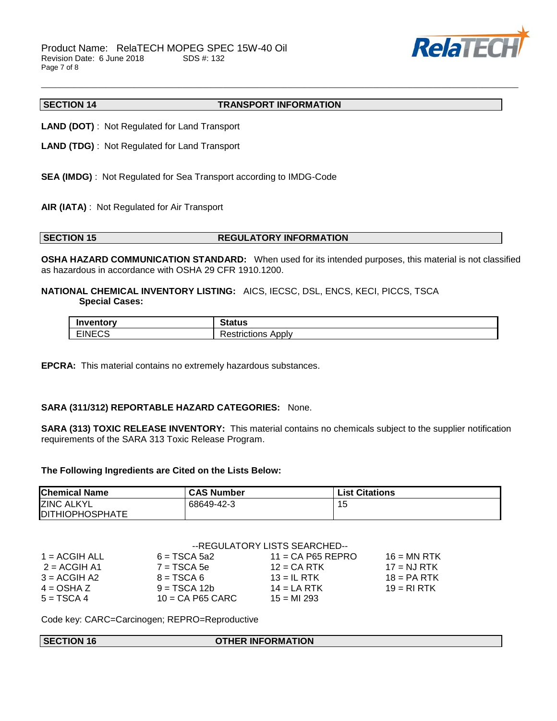

# **SECTION 14 TRANSPORT INFORMATION**

\_\_\_\_\_\_\_\_\_\_\_\_\_\_\_\_\_\_\_\_\_\_\_\_\_\_\_\_\_\_\_\_\_\_\_\_\_\_\_\_\_\_\_\_\_\_\_\_\_\_\_\_\_\_\_\_\_\_\_\_\_\_\_\_\_\_\_\_\_\_\_\_\_\_\_\_\_\_\_\_\_\_\_\_\_\_\_\_\_\_\_\_\_\_\_\_\_\_\_\_\_\_\_\_\_\_\_\_\_\_\_\_\_\_\_\_\_\_

- **LAND (DOT)** : Not Regulated for Land Transport
- **LAND (TDG)** : Not Regulated for Land Transport
- **SEA (IMDG)** : Not Regulated for Sea Transport according to IMDG-Code
- **AIR (IATA)** : Not Regulated for Air Transport

# **SECTION 15 REGULATORY INFORMATION**

**OSHA HAZARD COMMUNICATION STANDARD:** When used for its intended purposes, this material is not classified as hazardous in accordance with OSHA 29 CFR 1910.1200.

# **NATIONAL CHEMICAL INVENTORY LISTING:** AICS, IECSC, DSL, ENCS, KECI, PICCS, TSCA  **Special Cases:**

| 1 M                                     | .                         |
|-----------------------------------------|---------------------------|
| ີ*∩rv                                   | ашк                       |
| $1 - \alpha$<br>-<br>. .<br>・・」しい<br>-- | -<br>Apply<br>רוטווטווא ' |

**EPCRA:** This material contains no extremely hazardous substances.

# **SARA (311/312) REPORTABLE HAZARD CATEGORIES:** None.

**SARA (313) TOXIC RELEASE INVENTORY:** This material contains no chemicals subject to the supplier notification requirements of the SARA 313 Toxic Release Program.

### **The Following Ingredients are Cited on the Lists Below:**

| <b>Chemical Name</b>    | <b>CAS Number</b> | <b>List Citations</b> |
|-------------------------|-------------------|-----------------------|
| <b>ZINC ALKYL</b>       | 68649-42-3        | 15                    |
| <b>IDITHIOPHOSPHATE</b> |                   |                       |

| --REGULATORY LISTS SEARCHED-- |                    |                     |               |
|-------------------------------|--------------------|---------------------|---------------|
| $1 = ACGIH ALL$               | $6 = TSCA 5a2$     | $11 = CA$ P65 REPRO | $16 = MN$ RTK |
| $2 = ACGIH A1$                | $7 = TSCA5e$       | $12$ = CA RTK       | $17 = NJ RTK$ |
| $3 = ACGIH A2$                | $8 = TSCA6$        | $13 = IL$ RTK       | $18 = PA RTK$ |
| $4 = OSHA Z$                  | $9 = TSCA 12b$     | $14 = LA RTK$       | $19 = RIRTK$  |
| $5 = TSCA4$                   | $10 = CA$ P65 CARC | $15 = M1 293$       |               |

Code key: CARC=Carcinogen; REPRO=Reproductive

**SECTION 16 OTHER INFORMATION**